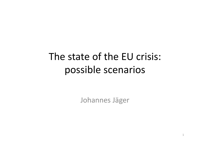# The state of the EU crisis: possible scenarios

Johannes Jäger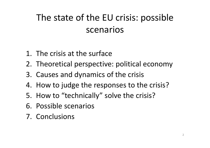#### The state of the EU crisis: possible scenarios

- 1. The crisis at the surface
- 2. Theoretical perspective: political economy
- 3. Causes and dynamics of the crisis
- 4. How to judge the responses to the crisis?
- 5. How to "technically" solve the crisis?
- 6. Possible scenarios
- 7. Conclusions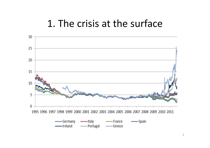#### 1. The crisis at the surface

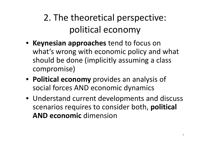2. The theoretical perspective: political economy

- **Keynesian approaches** tend to focus on what's wrong with economic policy and what should be done (implicitly assuming <sup>a</sup> class compromise)
- **Political economy** provides an analysis of social forces AND economic dynamics
- Understand current developments and discuss scenarios requires to consider both, **political AND economic** dimension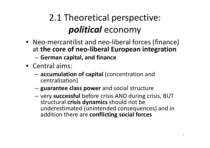#### 2.1 Theoretical perspective: *political* economy

- Neo‐mercantilist and neo‐liberal forces (finance) at **the core of neo‐liberal European integration**
	- –**German capital, and finance**
- Central aims:
	- – **accumulation of capital** (concentration and centralization)
	- –**guarantee class power** and social structure
	- – very **successful** before crisis AND during crisis, BUT structural **crisis dynamics** should not be underestimated (unintended consequences) and in addition there are **conflicting social forces**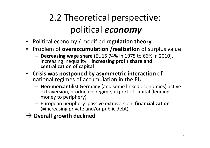### 2.2 Theoretical perspective: political *economy*

- Political economy / modified **regulation theory**
- Problem of **overaccumulation /realization** of surplus value
	- – **Decreasing wage share** (EU15 74% in 1975 to 66% in 2010), increasing inequality <sup>=</sup> **increasing profit share and centralization of capital**
- **Crisis was postponed by asymmetric interaction** of national regimes of accumulation in the EU
	- – **Neo‐mercantilist** Germany (and some linked economies) active extraversion, productive regime, export of capital (lending money to periphery)
	- European periphery: passive extraversion, **financialization** (=increasing private and/or public debt)

#### Æ **Overall growth declined**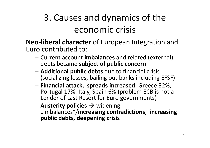## 3. Causes and dynamics of the economic crisis

**Neo‐liberal character** of European Integration and Euro contributed to:

- – Current account **imbalances** and related (external) debts became **subject of public concern**
- – **Additional public debts** due to financial crisis (socializing losses, bailing out banks including EFSF)
- – **Financial attack, spreads increased**: Greece 32%, Portugal 17%: Italy, Spain 6% (problem ECB is not <sup>a</sup> Lender of Last Resort for Euro governments)
- –**Austerity policies**  $\rightarrow$  widening "imbalances"/**increasing contradictions**, **increasing public debts, deepening crisis**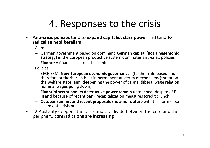# 4. Responses to the crisis

 $\bullet$  **Anti‐crisis policies** tend to **expand capitalist class power** and tend **to radicalise neoliberalism**

Agents:

- German government based on dominant **German capital (not <sup>a</sup> hegemonic** strategy) in the European productive system dominates anti-crisis policies
- **Finance** <sup>=</sup> financial sector <sup>+</sup> big capital

Policies:

- EFSF, ESM, **New European economic governance** (further rule‐based and therefore authoritarian built in permanent austerity mechanisms (threat on the welfare state) aim: deepening the power of capital (liberal wage relation, nominal wages going down)
- **Financial sector and its destructive power remain** untouched, despite of Basel III and because of recent bank recapitalization measures (credit crunch)
- **October summit and recent proposals show no rupture** with this form of so‐ called anti‐crisis policies
- $\bullet\quad\overline{\to}$  Austerity deepens the crisis and the divide between the core and the periphery, **contradictions are increasing**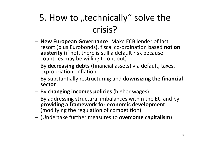#### 5. How to "technically" solve the crisis?

- **New European Governance**: Make ECB lender of last resort (plus Eurobonds), fiscal co‐ordination based **not on austerity** (if not, there is still <sup>a</sup> default risk because countries may be willing to opt out)
- – By **decreasing debts** (financial assets) via default, taxes, expropriation, inflation
- – By substantially restructuring and **downsizing the financial sector**
- –By **changing incomes policies** (higher wages)
- – By addressing structural imbalances within the EU and by **providing <sup>a</sup> framework for economic development** (modifying the regulation of competition)
- and the state of the (Undertake further measures to **overcome capitalism**)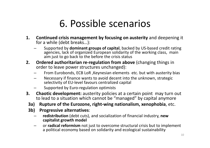# 6. Possible scenarios

- **1. Continued crisis management by focusing on austerity** and deepening it for a while (debt breaks…):
	- Supported by **dominant groups of capital**, backed by US‐based credit rating agencies, lack of organized European solidarity of the working class, main aim just to go back to the before the crisis status
- **2. Ordered authoritarian re‐regulation from above** (changing things in order to leave power structures unchanged):
	- From Eurobonds, ECB LoR ,Keynesian elements etc. but with austerity bias
	- – Necessary if finance wants to avoid decent into the unknown, strategic selectivity of EU‐level favours centralized capital
	- –Supported by Euro‐regulation optimists
- **3. Chaotic development:** austerity policies at <sup>a</sup> certain point may turn out to lead to <sup>a</sup> situation which cannot be "managed" by capital anymore
	- **3a) Rupture of the Eurozone, right‐wing nationalism, xenophobia**, etc.
	- **3b) Progressive alternatives**:
		- **redistribution** (debt cuts), and socialization of financial industry, **new capitalist growth model**
		- or **radical reformism** not just to overcome structural crisis but to implement a political economy based on solidarity and ecological sustainability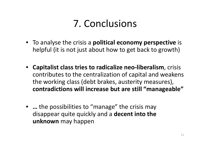## 7. Conclusions

- To analyse the crisis <sup>a</sup> **political economy perspective** is helpful (it is not just about how to get back to growth)
- **Capitalist class tries to radicalize neo‐liberalism**, crisis contributes to the centralization of capital and weakens the working class (debt brakes, austerity measures), **contradictions will increase but are still "manageable"**
- **…** the possibilities to "manage" the crisis may disappear quite quickly and <sup>a</sup> **decent into the unknown** may happen